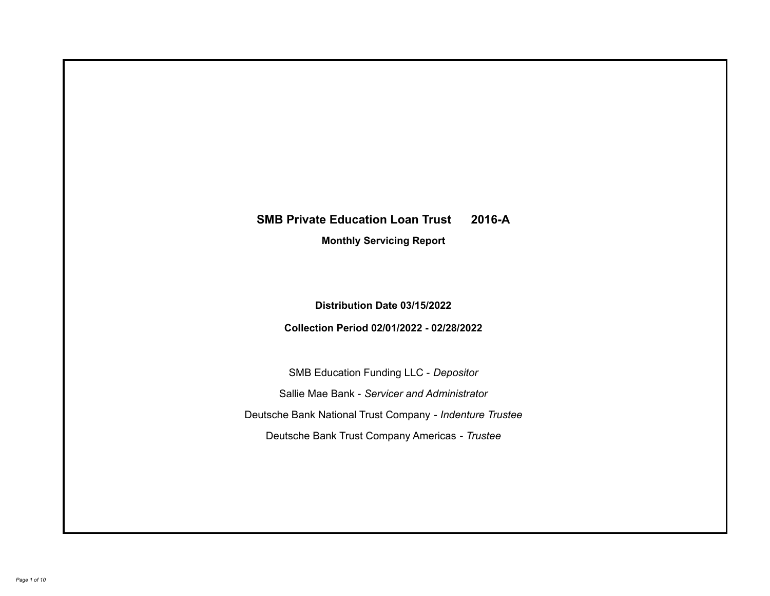# **SMB Private Education Loan Trust 2016-A**

**Monthly Servicing Report**

**Distribution Date 03/15/2022**

**Collection Period 02/01/2022 - 02/28/2022**

SMB Education Funding LLC - *Depositor* Sallie Mae Bank - *Servicer and Administrator* Deutsche Bank National Trust Company - *Indenture Trustee* Deutsche Bank Trust Company Americas - *Trustee*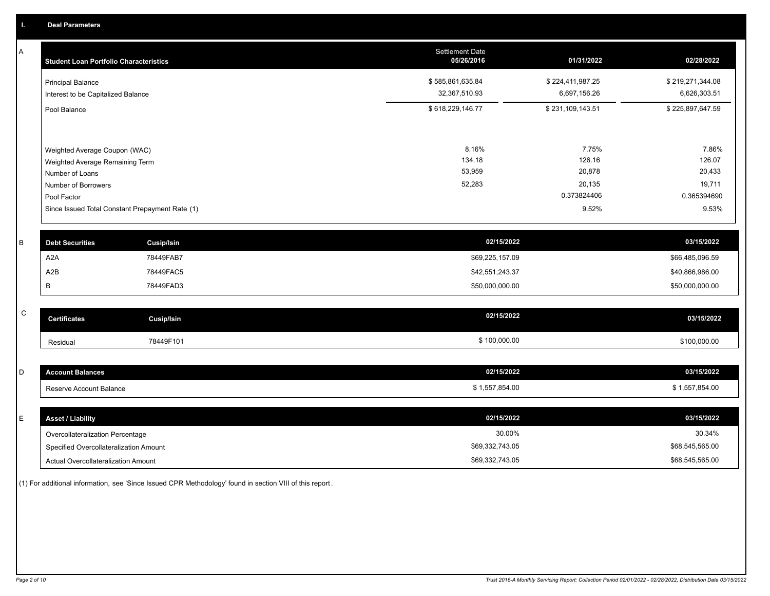A

 $\,$  C  $\,$ 

| A | <b>Student Loan Portfolio Characteristics</b>      |                                                 | Settlement Date<br>05/26/2016 | 01/31/2022       | 02/28/2022       |
|---|----------------------------------------------------|-------------------------------------------------|-------------------------------|------------------|------------------|
|   | <b>Principal Balance</b>                           |                                                 | \$585,861,635.84              | \$224,411,987.25 | \$219,271,344.08 |
|   | Interest to be Capitalized Balance                 |                                                 | 32,367,510.93                 | 6,697,156.26     | 6,626,303.51     |
|   | Pool Balance                                       |                                                 | \$618,229,146.77              | \$231,109,143.51 | \$225,897,647.59 |
|   |                                                    |                                                 |                               |                  |                  |
|   | Weighted Average Coupon (WAC)                      |                                                 | 8.16%<br>134.18               | 7.75%<br>126.16  | 7.86%<br>126.07  |
|   | Weighted Average Remaining Term<br>Number of Loans |                                                 | 53,959                        | 20,878           | 20,433           |
|   | Number of Borrowers                                |                                                 | 52,283                        | 20,135           | 19,711           |
|   | Pool Factor                                        |                                                 |                               | 0.373824406      | 0.365394690      |
|   |                                                    | Since Issued Total Constant Prepayment Rate (1) |                               | 9.52%            | 9.53%            |
| B | <b>Debt Securities</b>                             | <b>Cusip/Isin</b>                               | 02/15/2022                    |                  | 03/15/2022       |
|   | A <sub>2</sub> A                                   | 78449FAB7                                       | \$69,225,157.09               |                  | \$66,485,096.59  |
|   | A2B                                                | 78449FAC5                                       | \$42,551,243.37               |                  | \$40,866,986.00  |
|   | B                                                  | 78449FAD3                                       | \$50,000,000.00               |                  | \$50,000,000.00  |
| C |                                                    |                                                 |                               |                  |                  |
|   | <b>Certificates</b>                                | Cusip/Isin                                      | 02/15/2022                    |                  | 03/15/2022       |
|   | Residual                                           | 78449F101                                       | \$100,000.00                  |                  | \$100,000.00     |
|   |                                                    |                                                 |                               |                  |                  |
| D | <b>Account Balances</b>                            |                                                 | 02/15/2022                    |                  | 03/15/2022       |
|   | Reserve Account Balance                            |                                                 | \$1,557,854.00                |                  | \$1.557.854.00   |

| ΙE | <b>Asset / Liability</b>               | 02/15/2022      | 03/15/2022      |
|----|----------------------------------------|-----------------|-----------------|
|    | Overcollateralization Percentage       | 30.00%          | 30.34%          |
|    | Specified Overcollateralization Amount | \$69,332,743.05 | \$68,545,565.00 |
|    | Actual Overcollateralization Amount    | \$69,332,743.05 | \$68,545,565.00 |

(1) For additional information, see 'Since Issued CPR Methodology' found in section VIII of this report .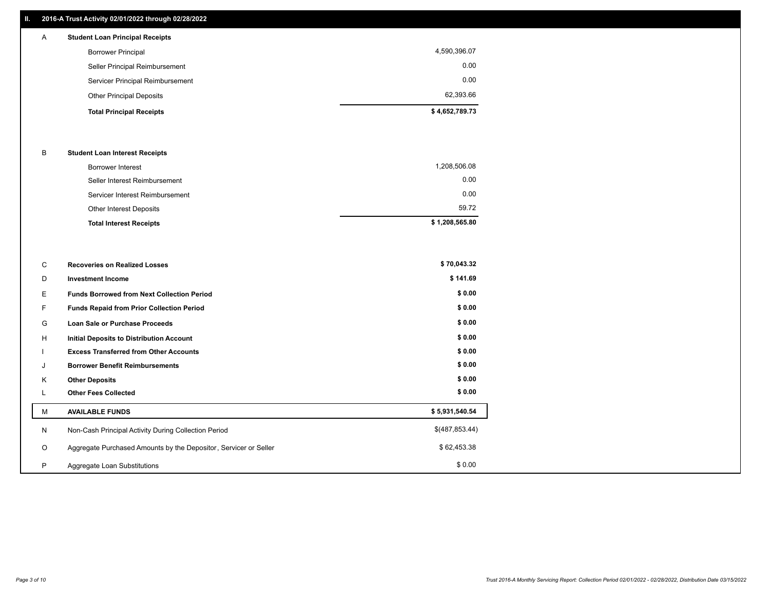## **II. 2016-A Trust Activity 02/01/2022 through 02/28/2022**

## **Total Principal Receipts \$ 4,652,789.73**  Other Principal Deposits 62,393.66 Servicer Principal Reimbursement 0.00 Seller Principal Reimbursement 0.00 Borrower Principal 4,590,396.07 A **Student Loan Principal Receipts**

## B **Student Loan Interest Receipts**

| <b>Total Interest Receipts</b>  | \$1,208,565.80 |
|---------------------------------|----------------|
| Other Interest Deposits         | 59.72          |
| Servicer Interest Reimbursement | 0.00           |
| Seller Interest Reimbursement   | 0.00           |
| Borrower Interest               | 1,208,506.08   |

| C       | <b>Recoveries on Realized Losses</b>                             | \$70,043.32    |
|---------|------------------------------------------------------------------|----------------|
| D       | <b>Investment Income</b>                                         | \$141.69       |
| E.      | <b>Funds Borrowed from Next Collection Period</b>                | \$0.00         |
| F       | Funds Repaid from Prior Collection Period                        | \$0.00         |
| G       | Loan Sale or Purchase Proceeds                                   | \$0.00         |
| н       | Initial Deposits to Distribution Account                         | \$0.00         |
|         | <b>Excess Transferred from Other Accounts</b>                    | \$0.00         |
| J       | <b>Borrower Benefit Reimbursements</b>                           | \$0.00         |
| Κ       | <b>Other Deposits</b>                                            | \$0.00         |
| L       | <b>Other Fees Collected</b>                                      | \$0.00         |
| м       | <b>AVAILABLE FUNDS</b>                                           | \$5,931,540.54 |
| N       | Non-Cash Principal Activity During Collection Period             | \$(487,853.44) |
| $\circ$ | Aggregate Purchased Amounts by the Depositor, Servicer or Seller | \$62,453.38    |
| P       | Aggregate Loan Substitutions                                     | \$0.00         |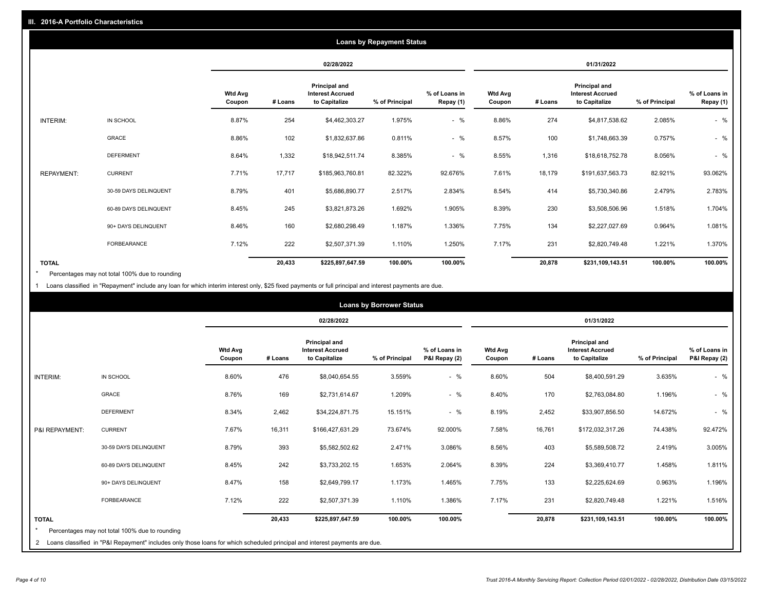|                   | <b>Loans by Repayment Status</b> |                          |            |                                                           |                |                            |                          |         |                                                           |                |                            |
|-------------------|----------------------------------|--------------------------|------------|-----------------------------------------------------------|----------------|----------------------------|--------------------------|---------|-----------------------------------------------------------|----------------|----------------------------|
|                   |                                  |                          | 02/28/2022 |                                                           |                |                            | 01/31/2022               |         |                                                           |                |                            |
|                   |                                  | <b>Wtd Avg</b><br>Coupon | # Loans    | Principal and<br><b>Interest Accrued</b><br>to Capitalize | % of Principal | % of Loans in<br>Repay (1) | <b>Wtd Avg</b><br>Coupon | # Loans | Principal and<br><b>Interest Accrued</b><br>to Capitalize | % of Principal | % of Loans in<br>Repay (1) |
| INTERIM:          | IN SCHOOL                        | 8.87%                    | 254        | \$4,462,303.27                                            | 1.975%         | $-$ %                      | 8.86%                    | 274     | \$4,817,538.62                                            | 2.085%         | $-$ %                      |
|                   | GRACE                            | 8.86%                    | 102        | \$1,832,637.86                                            | 0.811%         | $-$ %                      | 8.57%                    | 100     | \$1,748,663.39                                            | 0.757%         | $-$ %                      |
|                   | <b>DEFERMENT</b>                 | 8.64%                    | 1,332      | \$18,942,511.74                                           | 8.385%         | $-$ %                      | 8.55%                    | 1,316   | \$18,618,752.78                                           | 8.056%         | $-$ %                      |
| <b>REPAYMENT:</b> | <b>CURRENT</b>                   | 7.71%                    | 17,717     | \$185,963,760.81                                          | 82.322%        | 92.676%                    | 7.61%                    | 18,179  | \$191,637,563.73                                          | 82.921%        | 93.062%                    |
|                   | 30-59 DAYS DELINQUENT            | 8.79%                    | 401        | \$5,686,890.77                                            | 2.517%         | 2.834%                     | 8.54%                    | 414     | \$5,730,340.86                                            | 2.479%         | 2.783%                     |
|                   | 60-89 DAYS DELINQUENT            | 8.45%                    | 245        | \$3,821,873.26                                            | 1.692%         | 1.905%                     | 8.39%                    | 230     | \$3,508,506.96                                            | 1.518%         | 1.704%                     |
|                   | 90+ DAYS DELINQUENT              | 8.46%                    | 160        | \$2,680,298.49                                            | 1.187%         | 1.336%                     | 7.75%                    | 134     | \$2,227,027.69                                            | 0.964%         | 1.081%                     |
|                   | FORBEARANCE                      | 7.12%                    | 222        | \$2,507,371.39                                            | 1.110%         | 1.250%                     | 7.17%                    | 231     | \$2,820,749.48                                            | 1.221%         | 1.370%                     |
| <b>TOTAL</b>      |                                  |                          | 20,433     | \$225,897,647.59                                          | 100.00%        | 100.00%                    |                          | 20,878  | \$231,109,143.51                                          | 100.00%        | 100.00%                    |

Percentages may not total 100% due to rounding \*

1 Loans classified in "Repayment" include any loan for which interim interest only, \$25 fixed payments or full principal and interest payments are due.

|                         | <b>Loans by Borrower Status</b>                                                                                              |                          |            |                                                                  |                |                                |                          |         |                                                                  |                |                                |
|-------------------------|------------------------------------------------------------------------------------------------------------------------------|--------------------------|------------|------------------------------------------------------------------|----------------|--------------------------------|--------------------------|---------|------------------------------------------------------------------|----------------|--------------------------------|
|                         |                                                                                                                              |                          | 02/28/2022 |                                                                  |                |                                | 01/31/2022               |         |                                                                  |                |                                |
|                         |                                                                                                                              | <b>Wtd Avg</b><br>Coupon | # Loans    | <b>Principal and</b><br><b>Interest Accrued</b><br>to Capitalize | % of Principal | % of Loans in<br>P&I Repay (2) | <b>Wtd Avg</b><br>Coupon | # Loans | <b>Principal and</b><br><b>Interest Accrued</b><br>to Capitalize | % of Principal | % of Loans in<br>P&I Repay (2) |
| INTERIM:                | IN SCHOOL                                                                                                                    | 8.60%                    | 476        | \$8,040,654.55                                                   | 3.559%         | $-$ %                          | 8.60%                    | 504     | \$8,400,591.29                                                   | 3.635%         | $-$ %                          |
|                         | <b>GRACE</b>                                                                                                                 | 8.76%                    | 169        | \$2,731,614.67                                                   | 1.209%         | $-$ %                          | 8.40%                    | 170     | \$2,763,084.80                                                   | 1.196%         | $-$ %                          |
|                         | <b>DEFERMENT</b>                                                                                                             | 8.34%                    | 2,462      | \$34,224,871.75                                                  | 15.151%        | $-$ %                          | 8.19%                    | 2,452   | \$33,907,856.50                                                  | 14.672%        | $-$ %                          |
| P&I REPAYMENT:          | <b>CURRENT</b>                                                                                                               | 7.67%                    | 16,311     | \$166,427,631.29                                                 | 73.674%        | 92.000%                        | 7.58%                    | 16,761  | \$172,032,317.26                                                 | 74.438%        | 92.472%                        |
|                         | 30-59 DAYS DELINQUENT                                                                                                        | 8.79%                    | 393        | \$5,582,502.62                                                   | 2.471%         | 3.086%                         | 8.56%                    | 403     | \$5,589,508.72                                                   | 2.419%         | 3.005%                         |
|                         | 60-89 DAYS DELINQUENT                                                                                                        | 8.45%                    | 242        | \$3,733,202.15                                                   | 1.653%         | 2.064%                         | 8.39%                    | 224     | \$3,369,410.77                                                   | 1.458%         | 1.811%                         |
|                         | 90+ DAYS DELINQUENT                                                                                                          | 8.47%                    | 158        | \$2,649,799.17                                                   | 1.173%         | 1.465%                         | 7.75%                    | 133     | \$2,225,624.69                                                   | 0.963%         | 1.196%                         |
|                         | FORBEARANCE                                                                                                                  | 7.12%                    | 222        | \$2,507,371.39                                                   | 1.110%         | 1.386%                         | 7.17%                    | 231     | \$2,820,749.48                                                   | 1.221%         | 1.516%                         |
| <b>TOTAL</b><br>$\star$ | Percentages may not total 100% due to rounding                                                                               |                          | 20,433     | \$225,897,647.59                                                 | 100.00%        | 100.00%                        |                          | 20,878  | \$231,109,143.51                                                 | 100.00%        | 100.00%                        |
|                         | 2 Loans classified in "P&I Repayment" includes only those loans for which scheduled principal and interest payments are due. |                          |            |                                                                  |                |                                |                          |         |                                                                  |                |                                |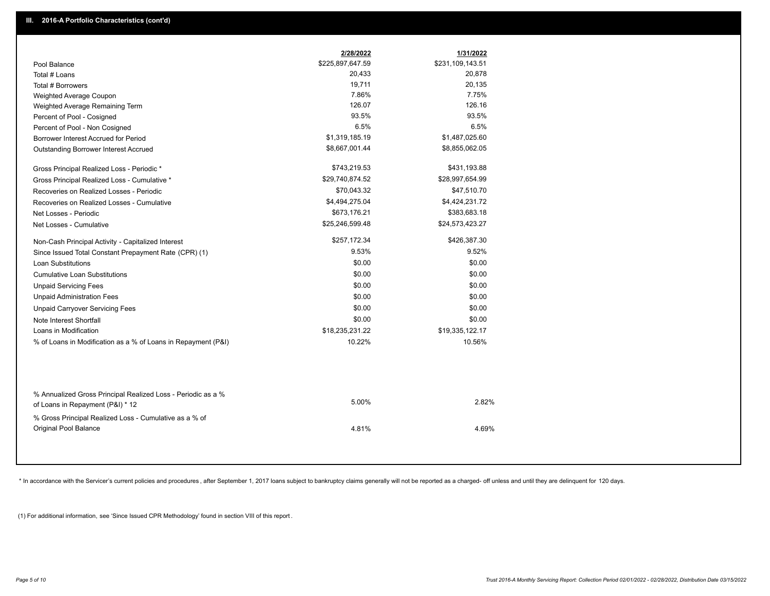|                                                                                                  | 2/28/2022        | 1/31/2022        |
|--------------------------------------------------------------------------------------------------|------------------|------------------|
| Pool Balance                                                                                     | \$225,897,647.59 | \$231,109,143.51 |
| Total # Loans                                                                                    | 20,433           | 20,878           |
| Total # Borrowers                                                                                | 19,711           | 20,135           |
| Weighted Average Coupon                                                                          | 7.86%            | 7.75%            |
| Weighted Average Remaining Term                                                                  | 126.07           | 126.16           |
| Percent of Pool - Cosigned                                                                       | 93.5%            | 93.5%            |
| Percent of Pool - Non Cosigned                                                                   | 6.5%             | 6.5%             |
| Borrower Interest Accrued for Period                                                             | \$1,319,185.19   | \$1,487,025.60   |
| Outstanding Borrower Interest Accrued                                                            | \$8,667,001.44   | \$8,855,062.05   |
| Gross Principal Realized Loss - Periodic *                                                       | \$743,219.53     | \$431,193.88     |
| Gross Principal Realized Loss - Cumulative *                                                     | \$29,740,874.52  | \$28,997,654.99  |
| Recoveries on Realized Losses - Periodic                                                         | \$70,043.32      | \$47,510.70      |
| Recoveries on Realized Losses - Cumulative                                                       | \$4,494,275.04   | \$4,424,231.72   |
| Net Losses - Periodic                                                                            | \$673,176.21     | \$383,683.18     |
| Net Losses - Cumulative                                                                          | \$25,246,599.48  | \$24,573,423.27  |
| Non-Cash Principal Activity - Capitalized Interest                                               | \$257,172.34     | \$426,387.30     |
| Since Issued Total Constant Prepayment Rate (CPR) (1)                                            | 9.53%            | 9.52%            |
| <b>Loan Substitutions</b>                                                                        | \$0.00           | \$0.00           |
| Cumulative Loan Substitutions                                                                    | \$0.00           | \$0.00           |
| <b>Unpaid Servicing Fees</b>                                                                     | \$0.00           | \$0.00           |
| <b>Unpaid Administration Fees</b>                                                                | \$0.00           | \$0.00           |
| <b>Unpaid Carryover Servicing Fees</b>                                                           | \$0.00           | \$0.00           |
| Note Interest Shortfall                                                                          | \$0.00           | \$0.00           |
| Loans in Modification                                                                            | \$18,235,231.22  | \$19,335,122.17  |
| % of Loans in Modification as a % of Loans in Repayment (P&I)                                    | 10.22%           | 10.56%           |
|                                                                                                  |                  |                  |
| % Annualized Gross Principal Realized Loss - Periodic as a %<br>of Loans in Repayment (P&I) * 12 | 5.00%            | 2.82%            |
| % Gross Principal Realized Loss - Cumulative as a % of                                           |                  |                  |

\* In accordance with the Servicer's current policies and procedures, after September 1, 2017 loans subject to bankruptcy claims generally will not be reported as a charged- off unless and until they are delinquent for 120

4.81% 4.69%

(1) For additional information, see 'Since Issued CPR Methodology' found in section VIII of this report .

Original Pool Balance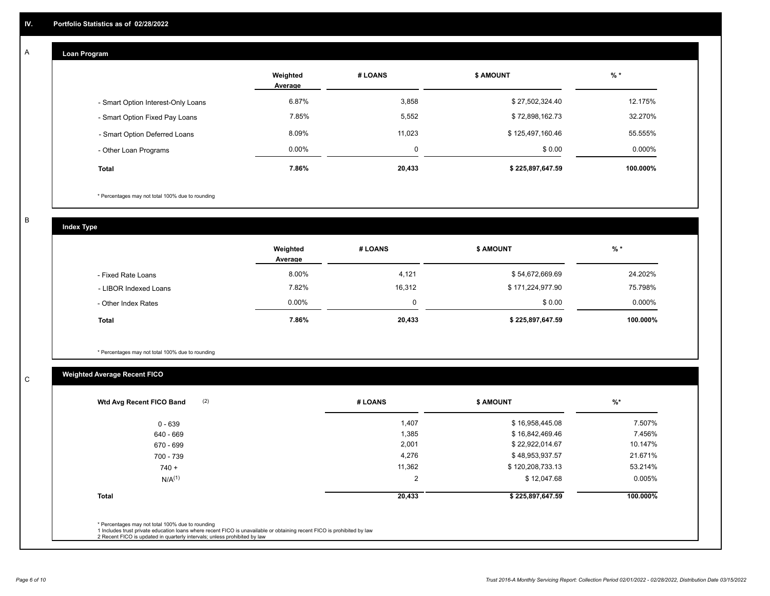#### **Loan Program**  A

|                                    | Weighted<br>Average | # LOANS  | <b>\$ AMOUNT</b> | $%$ *     |
|------------------------------------|---------------------|----------|------------------|-----------|
| - Smart Option Interest-Only Loans | 6.87%               | 3,858    | \$27,502,324.40  | 12.175%   |
| - Smart Option Fixed Pay Loans     | 7.85%               | 5,552    | \$72,898,162.73  | 32.270%   |
| - Smart Option Deferred Loans      | 8.09%               | 11,023   | \$125,497,160.46 | 55.555%   |
| - Other Loan Programs              | $0.00\%$            | $\Omega$ | \$0.00           | $0.000\%$ |
| <b>Total</b>                       | 7.86%               | 20,433   | \$225,897,647.59 | 100.000%  |

\* Percentages may not total 100% due to rounding

B

C

**Index Type**

|                       | Weighted<br>Average | # LOANS  | <b>\$ AMOUNT</b> | $%$ *     |
|-----------------------|---------------------|----------|------------------|-----------|
| - Fixed Rate Loans    | 8.00%               | 4,121    | \$54,672,669.69  | 24.202%   |
| - LIBOR Indexed Loans | 7.82%               | 16,312   | \$171,224,977.90 | 75.798%   |
| - Other Index Rates   | $0.00\%$            | $\Omega$ | \$0.00           | $0.000\%$ |
| <b>Total</b>          | 7.86%               | 20,433   | \$225,897,647.59 | 100.000%  |

\* Percentages may not total 100% due to rounding

## **Weighted Average Recent FICO**

| # LOANS | <b>\$ AMOUNT</b>              | $%$ *    |
|---------|-------------------------------|----------|
|         | 1,407<br>\$16,958,445.08      | 7.507%   |
|         | 1,385<br>\$16,842,469.46      | 7.456%   |
|         | 2,001<br>\$22,922,014.67      | 10.147%  |
|         | 4,276<br>\$48,953,937.57      | 21.671%  |
|         | \$120,208,733.13<br>11,362    | 53.214%  |
|         | $\overline{2}$<br>\$12,047.68 | 0.005%   |
|         | 20,433<br>\$225,897,647.59    | 100.000% |
|         |                               |          |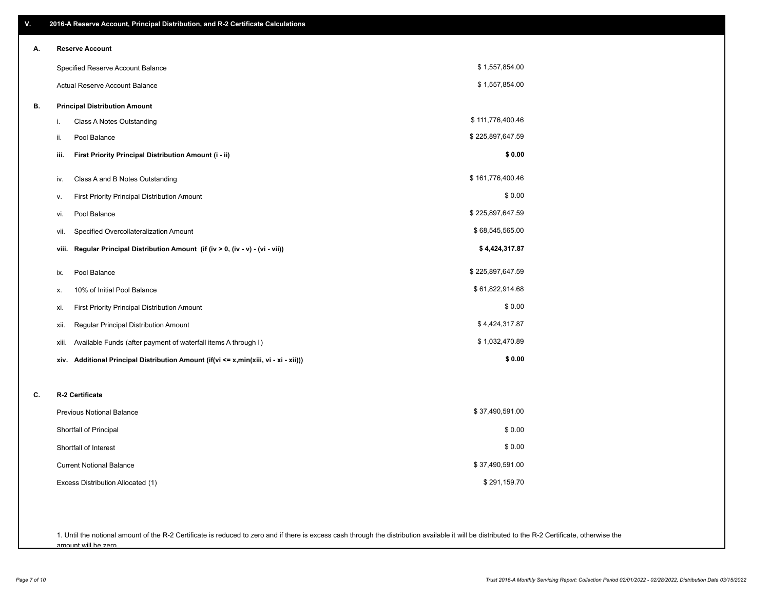| V. | 2016-A Reserve Account, Principal Distribution, and R-2 Certificate Calculations     |                  |
|----|--------------------------------------------------------------------------------------|------------------|
| А. | <b>Reserve Account</b>                                                               |                  |
|    | Specified Reserve Account Balance                                                    | \$1,557,854.00   |
|    | Actual Reserve Account Balance                                                       | \$1,557,854.00   |
| В. | <b>Principal Distribution Amount</b>                                                 |                  |
|    | Class A Notes Outstanding<br>i.                                                      | \$111,776,400.46 |
|    | Pool Balance<br>ii.                                                                  | \$225,897,647.59 |
|    | First Priority Principal Distribution Amount (i - ii)<br>iii.                        | \$0.00           |
|    | Class A and B Notes Outstanding<br>iv.                                               | \$161,776,400.46 |
|    | First Priority Principal Distribution Amount<br>٧.                                   | \$0.00           |
|    | Pool Balance<br>vi.                                                                  | \$225,897,647.59 |
|    | Specified Overcollateralization Amount<br>vii.                                       | \$68,545,565.00  |
|    | Regular Principal Distribution Amount (if (iv > 0, (iv - v) - (vi - vii))<br>viii.   | \$4,424,317.87   |
|    | Pool Balance<br>ix.                                                                  | \$225,897,647.59 |
|    | 10% of Initial Pool Balance<br>х.                                                    | \$61,822,914.68  |
|    | First Priority Principal Distribution Amount<br>xi.                                  | \$0.00           |
|    | Regular Principal Distribution Amount<br>xii.                                        | \$4,424,317.87   |
|    | Available Funds (after payment of waterfall items A through I)<br>xiii.              | \$1,032,470.89   |
|    | xiv. Additional Principal Distribution Amount (if(vi <= x,min(xiii, vi - xi - xii))) | \$0.00           |
| C. | R-2 Certificate                                                                      |                  |
|    | <b>Previous Notional Balance</b>                                                     | \$37,490,591.00  |
|    | Shortfall of Principal                                                               | \$0.00           |
|    | Shortfall of Interest                                                                | \$0.00           |
|    | <b>Current Notional Balance</b>                                                      | \$37,490,591.00  |
|    | Excess Distribution Allocated (1)                                                    | \$291,159.70     |
|    |                                                                                      |                  |
|    |                                                                                      |                  |

1. Until the notional amount of the R-2 Certificate is reduced to zero and if there is excess cash through the distribution available it will be distributed to the R-2 Certificate, otherwise the amount will be zero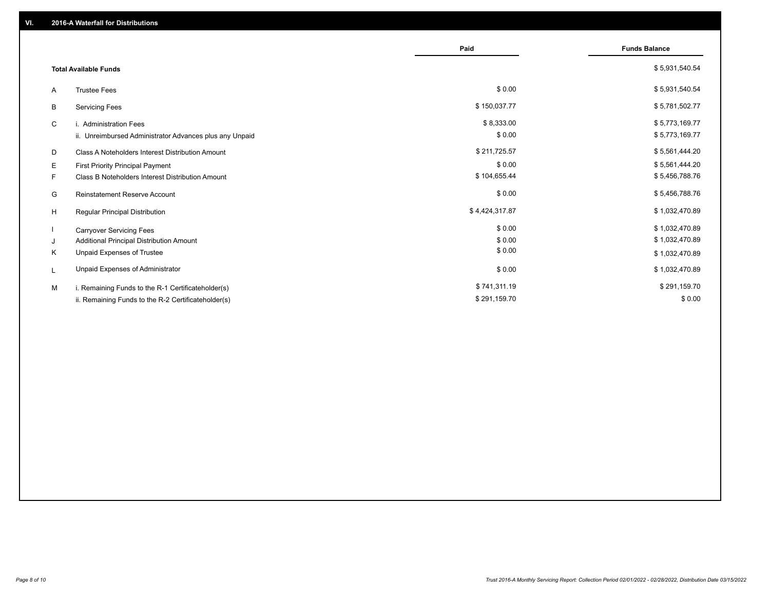|                                                              | Paid           | <b>Funds Balance</b> |
|--------------------------------------------------------------|----------------|----------------------|
| <b>Total Available Funds</b>                                 |                | \$5,931,540.54       |
| <b>Trustee Fees</b><br>A                                     | \$0.00         | \$5,931,540.54       |
| В<br><b>Servicing Fees</b>                                   | \$150,037.77   | \$5,781,502.77       |
| C<br>i. Administration Fees                                  | \$8,333.00     | \$5,773,169.77       |
| ii. Unreimbursed Administrator Advances plus any Unpaid      | \$0.00         | \$5,773,169.77       |
| D<br><b>Class A Noteholders Interest Distribution Amount</b> | \$211,725.57   | \$5,561,444.20       |
| Е<br>First Priority Principal Payment                        | \$0.00         | \$5,561,444.20       |
| Class B Noteholders Interest Distribution Amount<br>F.       | \$104,655.44   | \$5,456,788.76       |
| <b>Reinstatement Reserve Account</b><br>G                    | \$0.00         | \$5,456,788.76       |
| H<br>Regular Principal Distribution                          | \$4,424,317.87 | \$1,032,470.89       |
| <b>Carryover Servicing Fees</b>                              | \$0.00         | \$1,032,470.89       |
| Additional Principal Distribution Amount<br>J                | \$0.00         | \$1,032,470.89       |
| Κ<br>Unpaid Expenses of Trustee                              | \$0.00         | \$1,032,470.89       |
| Unpaid Expenses of Administrator<br>L                        | \$0.00         | \$1,032,470.89       |
| M<br>i. Remaining Funds to the R-1 Certificateholder(s)      | \$741,311.19   | \$291,159.70         |
| ii. Remaining Funds to the R-2 Certificateholder(s)          | \$291,159.70   | \$0.00               |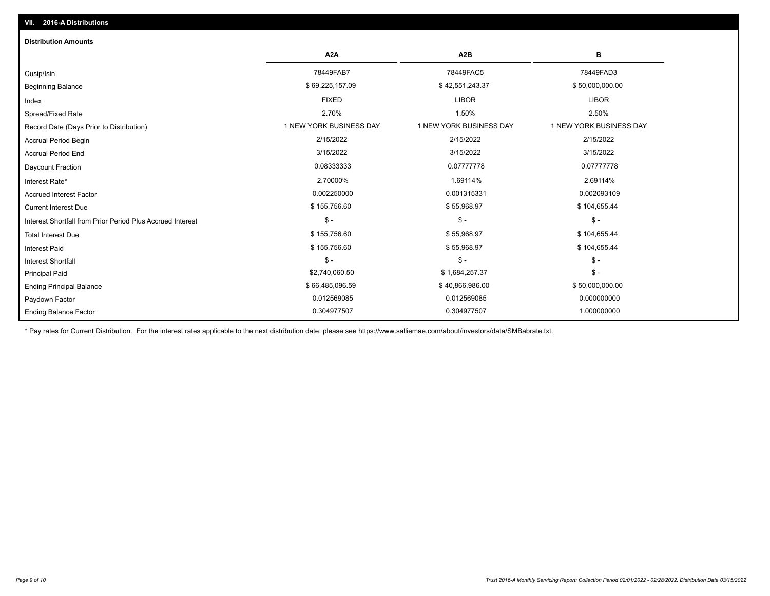| <b>Distribution Amounts</b>                                |                         |                         |                         |
|------------------------------------------------------------|-------------------------|-------------------------|-------------------------|
|                                                            | A <sub>2</sub> A        | A <sub>2</sub> B        | в                       |
| Cusip/Isin                                                 | 78449FAB7               | 78449FAC5               | 78449FAD3               |
| <b>Beginning Balance</b>                                   | \$69,225,157.09         | \$42,551,243.37         | \$50,000,000.00         |
| Index                                                      | <b>FIXED</b>            | <b>LIBOR</b>            | <b>LIBOR</b>            |
| Spread/Fixed Rate                                          | 2.70%                   | 1.50%                   | 2.50%                   |
| Record Date (Days Prior to Distribution)                   | 1 NEW YORK BUSINESS DAY | 1 NEW YORK BUSINESS DAY | 1 NEW YORK BUSINESS DAY |
| <b>Accrual Period Begin</b>                                | 2/15/2022               | 2/15/2022               | 2/15/2022               |
| <b>Accrual Period End</b>                                  | 3/15/2022               | 3/15/2022               | 3/15/2022               |
| Daycount Fraction                                          | 0.08333333              | 0.07777778              | 0.07777778              |
| Interest Rate*                                             | 2.70000%                | 1.69114%                | 2.69114%                |
| <b>Accrued Interest Factor</b>                             | 0.002250000             | 0.001315331             | 0.002093109             |
| <b>Current Interest Due</b>                                | \$155,756.60            | \$55,968.97             | \$104,655.44            |
| Interest Shortfall from Prior Period Plus Accrued Interest | $\mathsf{\$}$ -         | $$ -$                   | $$ -$                   |
| <b>Total Interest Due</b>                                  | \$155,756.60            | \$55,968.97             | \$104,655.44            |
| <b>Interest Paid</b>                                       | \$155,756.60            | \$55,968.97             | \$104,655.44            |
| <b>Interest Shortfall</b>                                  | $\mathsf{\$}$ -         | $$ -$                   | $$ -$                   |
| <b>Principal Paid</b>                                      | \$2,740,060.50          | \$1,684,257.37          | $$ -$                   |
| <b>Ending Principal Balance</b>                            | \$66,485,096.59         | \$40,866,986.00         | \$50,000,000.00         |
| Paydown Factor                                             | 0.012569085             | 0.012569085             | 0.000000000             |
| <b>Ending Balance Factor</b>                               | 0.304977507             | 0.304977507             | 1.000000000             |

\* Pay rates for Current Distribution. For the interest rates applicable to the next distribution date, please see https://www.salliemae.com/about/investors/data/SMBabrate.txt.

**VII. 2016-A Distributions**